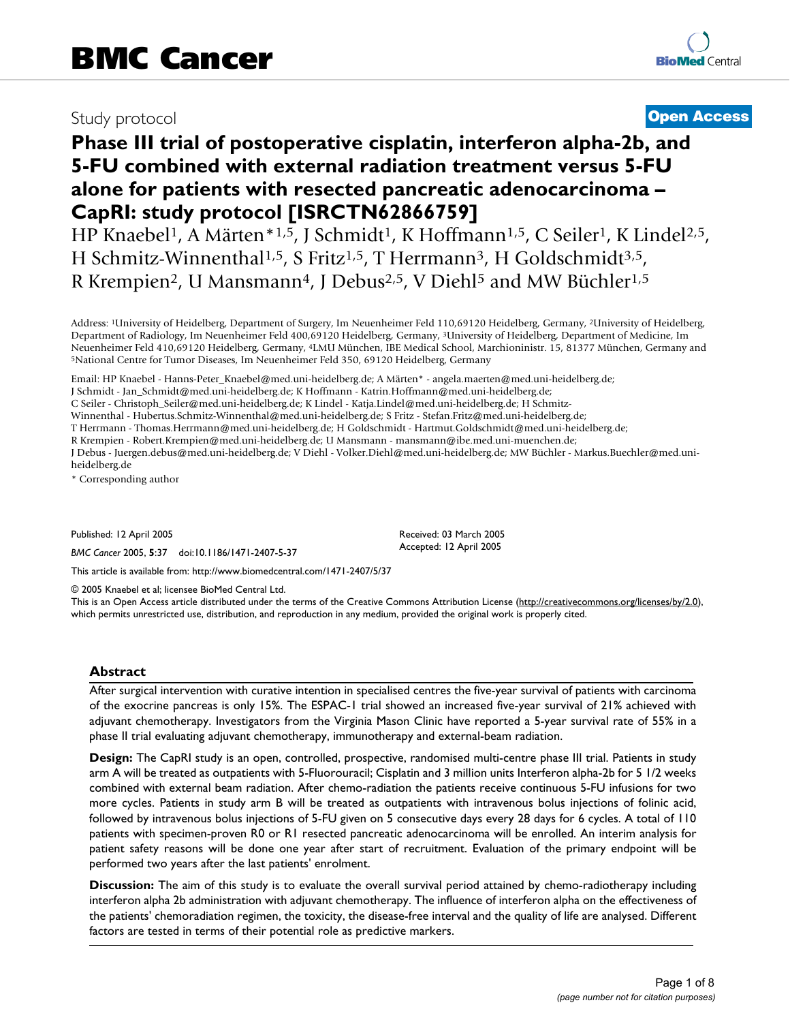# Study protocol **[Open Access](http://www.biomedcentral.com/info/about/charter/)**

# **Phase III trial of postoperative cisplatin, interferon alpha-2b, and 5-FU combined with external radiation treatment versus 5-FU alone for patients with resected pancreatic adenocarcinoma – CapRI: study protocol [ISRCTN62866759]**

HP Knaebel<sup>1</sup>, A Märten\*<sup>1,5</sup>, J Schmidt<sup>1</sup>, K Hoffmann<sup>1,5</sup>, C Seiler<sup>1</sup>, K Lindel<sup>2,5</sup>, H Schmitz-Winnenthal<sup>1,5</sup>, S Fritz<sup>1,5</sup>, T Herrmann<sup>3</sup>, H Goldschmidt<sup>3,5</sup>, R Krempien<sup>2</sup>, U Mansmann<sup>4</sup>, J Debus<sup>2,5</sup>, V Diehl<sup>5</sup> and MW Büchler<sup>1,5</sup>

Address: 1University of Heidelberg, Department of Surgery, Im Neuenheimer Feld 110,69120 Heidelberg, Germany, 2University of Heidelberg, Department of Radiology, Im Neuenheimer Feld 400,69120 Heidelberg, Germany, 3University of Heidelberg, Department of Medicine, Im Neuenheimer Feld 410,69120 Heidelberg, Germany, <sup>4</sup>LMU München, IBE Medical School, Marchioninistr. 15, 81377 München, Germany and <sup>5</sup>National Centre for Tumor Diseases, Im Neuenheimer Feld 350, 69120 Heidelberg, Germany

Email: HP Knaebel - Hanns-Peter\_Knaebel@med.uni-heidelberg.de; A Märten\* - angela.maerten@med.uni-heidelberg.de;

J Schmidt - Jan\_Schmidt@med.uni-heidelberg.de; K Hoffmann - Katrin.Hoffmann@med.uni-heidelberg.de;

C Seiler - Christoph\_Seiler@med.uni-heidelberg.de; K Lindel - Katja.Lindel@med.uni-heidelberg.de; H Schmitz-

Winnenthal - Hubertus.Schmitz-Winnenthal@med.uni-heidelberg.de; S Fritz - Stefan.Fritz@med.uni-heidelberg.de;

T Herrmann - Thomas.Herrmann@med.uni-heidelberg.de; H Goldschmidt - Hartmut.Goldschmidt@med.uni-heidelberg.de;

R Krempien - Robert.Krempien@med.uni-heidelberg.de; U Mansmann - mansmann@ibe.med.uni-muenchen.de;

J Debus - Juergen.debus@med.uni-heidelberg.de; V Diehl - Volker.Diehl@med.uni-heidelberg.de; MW Büchler - Markus.Buechler@med.uniheidelberg.de

\* Corresponding author

Published: 12 April 2005

*BMC Cancer* 2005, **5**:37 doi:10.1186/1471-2407-5-37

Received: 03 March 2005 Accepted: 12 April 2005

[This article is available from: http://www.biomedcentral.com/1471-2407/5/37](http://www.biomedcentral.com/1471-2407/5/37) © 2005 Knaebel et al; licensee BioMed Central Ltd.

This is an Open Access article distributed under the terms of the Creative Commons Attribution License [\(http://creativecommons.org/licenses/by/2.0\)](http://creativecommons.org/licenses/by/2.0), which permits unrestricted use, distribution, and reproduction in any medium, provided the original work is properly cited.

#### **Abstract**

After surgical intervention with curative intention in specialised centres the five-year survival of patients with carcinoma of the exocrine pancreas is only 15%. The ESPAC-1 trial showed an increased five-year survival of 21% achieved with adjuvant chemotherapy. Investigators from the Virginia Mason Clinic have reported a 5-year survival rate of 55% in a phase II trial evaluating adjuvant chemotherapy, immunotherapy and external-beam radiation.

**Design:** The CapRI study is an open, controlled, prospective, randomised multi-centre phase III trial. Patients in study arm A will be treated as outpatients with 5-Fluorouracil; Cisplatin and 3 million units Interferon alpha-2b for 5 1/2 weeks combined with external beam radiation. After chemo-radiation the patients receive continuous 5-FU infusions for two more cycles. Patients in study arm B will be treated as outpatients with intravenous bolus injections of folinic acid, followed by intravenous bolus injections of 5-FU given on 5 consecutive days every 28 days for 6 cycles. A total of 110 patients with specimen-proven R0 or R1 resected pancreatic adenocarcinoma will be enrolled. An interim analysis for patient safety reasons will be done one year after start of recruitment. Evaluation of the primary endpoint will be performed two years after the last patients' enrolment.

**Discussion:** The aim of this study is to evaluate the overall survival period attained by chemo-radiotherapy including interferon alpha 2b administration with adjuvant chemotherapy. The influence of interferon alpha on the effectiveness of the patients' chemoradiation regimen, the toxicity, the disease-free interval and the quality of life are analysed. Different factors are tested in terms of their potential role as predictive markers.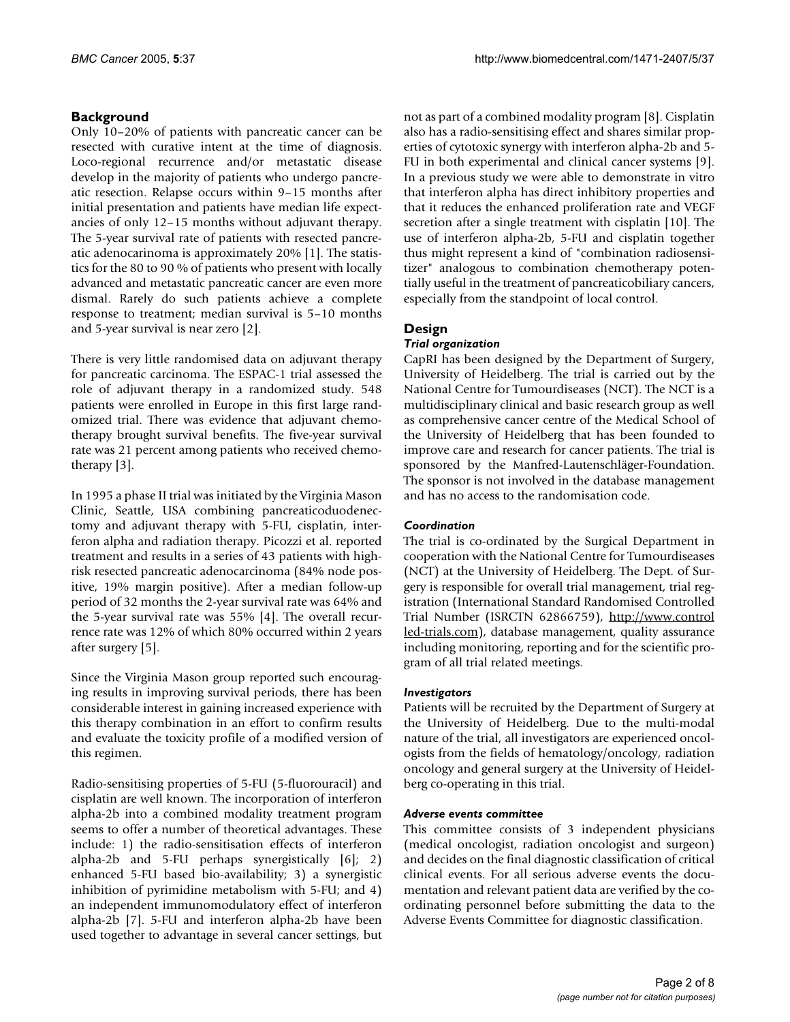# **Background**

Only 10–20% of patients with pancreatic cancer can be resected with curative intent at the time of diagnosis. Loco-regional recurrence and/or metastatic disease develop in the majority of patients who undergo pancreatic resection. Relapse occurs within 9–15 months after initial presentation and patients have median life expectancies of only 12–15 months without adjuvant therapy. The 5-year survival rate of patients with resected pancreatic adenocarinoma is approximately 20% [1]. The statistics for the 80 to 90 % of patients who present with locally advanced and metastatic pancreatic cancer are even more dismal. Rarely do such patients achieve a complete response to treatment; median survival is 5–10 months and 5-year survival is near zero [2].

There is very little randomised data on adjuvant therapy for pancreatic carcinoma. The ESPAC-1 trial assessed the role of adjuvant therapy in a randomized study. 548 patients were enrolled in Europe in this first large randomized trial. There was evidence that adjuvant chemotherapy brought survival benefits. The five-year survival rate was 21 percent among patients who received chemotherapy [3].

In 1995 a phase II trial was initiated by the Virginia Mason Clinic, Seattle, USA combining pancreaticoduodenectomy and adjuvant therapy with 5-FU, cisplatin, interferon alpha and radiation therapy. Picozzi et al. reported treatment and results in a series of 43 patients with highrisk resected pancreatic adenocarcinoma (84% node positive, 19% margin positive). After a median follow-up period of 32 months the 2-year survival rate was 64% and the 5-year survival rate was 55% [4]. The overall recurrence rate was 12% of which 80% occurred within 2 years after surgery [5].

Since the Virginia Mason group reported such encouraging results in improving survival periods, there has been considerable interest in gaining increased experience with this therapy combination in an effort to confirm results and evaluate the toxicity profile of a modified version of this regimen.

Radio-sensitising properties of 5-FU (5-fluorouracil) and cisplatin are well known. The incorporation of interferon alpha-2b into a combined modality treatment program seems to offer a number of theoretical advantages. These include: 1) the radio-sensitisation effects of interferon alpha-2b and 5-FU perhaps synergistically [6]; 2) enhanced 5-FU based bio-availability; 3) a synergistic inhibition of pyrimidine metabolism with 5-FU; and 4) an independent immunomodulatory effect of interferon alpha-2b [7]. 5-FU and interferon alpha-2b have been used together to advantage in several cancer settings, but not as part of a combined modality program [8]. Cisplatin also has a radio-sensitising effect and shares similar properties of cytotoxic synergy with interferon alpha-2b and 5- FU in both experimental and clinical cancer systems [9]. In a previous study we were able to demonstrate in vitro that interferon alpha has direct inhibitory properties and that it reduces the enhanced proliferation rate and VEGF secretion after a single treatment with cisplatin [10]. The use of interferon alpha-2b, 5-FU and cisplatin together thus might represent a kind of "combination radiosensitizer" analogous to combination chemotherapy potentially useful in the treatment of pancreaticobiliary cancers, especially from the standpoint of local control.

# **Design**

# *Trial organization*

CapRI has been designed by the Department of Surgery, University of Heidelberg. The trial is carried out by the National Centre for Tumourdiseases (NCT). The NCT is a multidisciplinary clinical and basic research group as well as comprehensive cancer centre of the Medical School of the University of Heidelberg that has been founded to improve care and research for cancer patients. The trial is sponsored by the Manfred-Lautenschläger-Foundation. The sponsor is not involved in the database management and has no access to the randomisation code.

#### *Coordination*

The trial is co-ordinated by the Surgical Department in cooperation with the National Centre for Tumourdiseases (NCT) at the University of Heidelberg. The Dept. of Surgery is responsible for overall trial management, trial registration (International Standard Randomised Controlled Trial Number (ISRCTN 62866759), [http://www.control](http://www.controlled-trials.com) [led-trials.com\)](http://www.controlled-trials.com), database management, quality assurance including monitoring, reporting and for the scientific program of all trial related meetings.

#### *Investigators*

Patients will be recruited by the Department of Surgery at the University of Heidelberg. Due to the multi-modal nature of the trial, all investigators are experienced oncologists from the fields of hematology/oncology, radiation oncology and general surgery at the University of Heidelberg co-operating in this trial.

#### *Adverse events committee*

This committee consists of 3 independent physicians (medical oncologist, radiation oncologist and surgeon) and decides on the final diagnostic classification of critical clinical events. For all serious adverse events the documentation and relevant patient data are verified by the coordinating personnel before submitting the data to the Adverse Events Committee for diagnostic classification.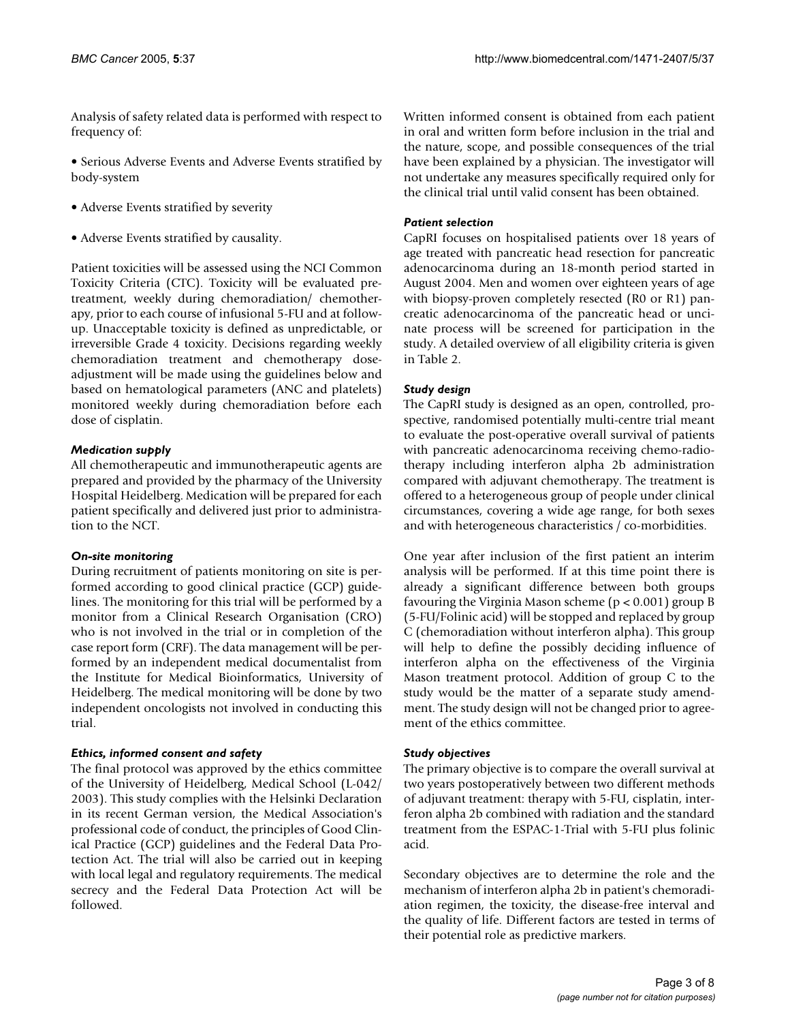Analysis of safety related data is performed with respect to frequency of:

- Serious Adverse Events and Adverse Events stratified by body-system
- Adverse Events stratified by severity
- Adverse Events stratified by causality.

Patient toxicities will be assessed using the NCI Common Toxicity Criteria (CTC). Toxicity will be evaluated pretreatment, weekly during chemoradiation/ chemotherapy, prior to each course of infusional 5-FU and at followup. Unacceptable toxicity is defined as unpredictable, or irreversible Grade 4 toxicity. Decisions regarding weekly chemoradiation treatment and chemotherapy doseadjustment will be made using the guidelines below and based on hematological parameters (ANC and platelets) monitored weekly during chemoradiation before each dose of cisplatin.

# *Medication supply*

All chemotherapeutic and immunotherapeutic agents are prepared and provided by the pharmacy of the University Hospital Heidelberg. Medication will be prepared for each patient specifically and delivered just prior to administration to the NCT.

#### *On-site monitoring*

During recruitment of patients monitoring on site is performed according to good clinical practice (GCP) guidelines. The monitoring for this trial will be performed by a monitor from a Clinical Research Organisation (CRO) who is not involved in the trial or in completion of the case report form (CRF). The data management will be performed by an independent medical documentalist from the Institute for Medical Bioinformatics, University of Heidelberg. The medical monitoring will be done by two independent oncologists not involved in conducting this trial.

# *Ethics, informed consent and safety*

The final protocol was approved by the ethics committee of the University of Heidelberg, Medical School (L-042/ 2003). This study complies with the Helsinki Declaration in its recent German version, the Medical Association's professional code of conduct, the principles of Good Clinical Practice (GCP) guidelines and the Federal Data Protection Act. The trial will also be carried out in keeping with local legal and regulatory requirements. The medical secrecy and the Federal Data Protection Act will be followed.

Written informed consent is obtained from each patient in oral and written form before inclusion in the trial and the nature, scope, and possible consequences of the trial have been explained by a physician. The investigator will not undertake any measures specifically required only for the clinical trial until valid consent has been obtained.

# *Patient selection*

CapRI focuses on hospitalised patients over 18 years of age treated with pancreatic head resection for pancreatic adenocarcinoma during an 18-month period started in August 2004. Men and women over eighteen years of age with biopsy-proven completely resected (R0 or R1) pancreatic adenocarcinoma of the pancreatic head or uncinate process will be screened for participation in the study. A detailed overview of all eligibility criteria is given in Table 2.

# *Study design*

The CapRI study is designed as an open, controlled, prospective, randomised potentially multi-centre trial meant to evaluate the post-operative overall survival of patients with pancreatic adenocarcinoma receiving chemo-radiotherapy including interferon alpha 2b administration compared with adjuvant chemotherapy. The treatment is offered to a heterogeneous group of people under clinical circumstances, covering a wide age range, for both sexes and with heterogeneous characteristics / co-morbidities.

One year after inclusion of the first patient an interim analysis will be performed. If at this time point there is already a significant difference between both groups favouring the Virginia Mason scheme ( $p < 0.001$ ) group B (5-FU/Folinic acid) will be stopped and replaced by group C (chemoradiation without interferon alpha). This group will help to define the possibly deciding influence of interferon alpha on the effectiveness of the Virginia Mason treatment protocol. Addition of group C to the study would be the matter of a separate study amendment. The study design will not be changed prior to agreement of the ethics committee.

# *Study objectives*

The primary objective is to compare the overall survival at two years postoperatively between two different methods of adjuvant treatment: therapy with 5-FU, cisplatin, interferon alpha 2b combined with radiation and the standard treatment from the ESPAC-1-Trial with 5-FU plus folinic acid.

Secondary objectives are to determine the role and the mechanism of interferon alpha 2b in patient's chemoradiation regimen, the toxicity, the disease-free interval and the quality of life. Different factors are tested in terms of their potential role as predictive markers.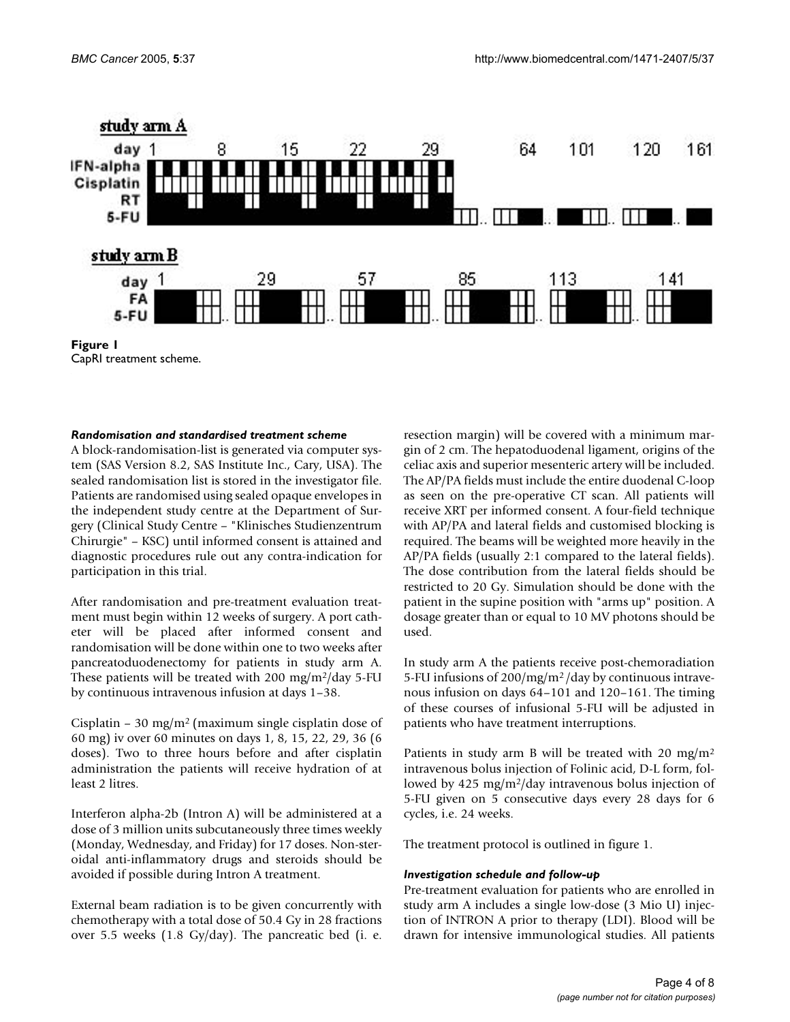

#### *Randomisation and standardised treatment scheme*

A block-randomisation-list is generated via computer system (SAS Version 8.2, SAS Institute Inc., Cary, USA). The sealed randomisation list is stored in the investigator file. Patients are randomised using sealed opaque envelopes in the independent study centre at the Department of Surgery (Clinical Study Centre – "Klinisches Studienzentrum Chirurgie" – KSC) until informed consent is attained and diagnostic procedures rule out any contra-indication for participation in this trial.

After randomisation and pre-treatment evaluation treatment must begin within 12 weeks of surgery. A port catheter will be placed after informed consent and randomisation will be done within one to two weeks after pancreatoduodenectomy for patients in study arm A. These patients will be treated with 200 mg/m<sup>2</sup>/day 5-FU by continuous intravenous infusion at days 1–38.

Cisplatin – 30 mg/m<sup>2</sup> (maximum single cisplatin dose of 60 mg) iv over 60 minutes on days 1, 8, 15, 22, 29, 36 (6 doses). Two to three hours before and after cisplatin administration the patients will receive hydration of at least 2 litres.

Interferon alpha-2b (Intron A) will be administered at a dose of 3 million units subcutaneously three times weekly (Monday, Wednesday, and Friday) for 17 doses. Non-steroidal anti-inflammatory drugs and steroids should be avoided if possible during Intron A treatment.

External beam radiation is to be given concurrently with chemotherapy with a total dose of 50.4 Gy in 28 fractions over 5.5 weeks (1.8 Gy/day). The pancreatic bed (i. e. resection margin) will be covered with a minimum margin of 2 cm. The hepatoduodenal ligament, origins of the celiac axis and superior mesenteric artery will be included. The AP/PA fields must include the entire duodenal C-loop as seen on the pre-operative CT scan. All patients will receive XRT per informed consent. A four-field technique with AP/PA and lateral fields and customised blocking is required. The beams will be weighted more heavily in the AP/PA fields (usually 2:1 compared to the lateral fields). The dose contribution from the lateral fields should be restricted to 20 Gy. Simulation should be done with the patient in the supine position with "arms up" position. A dosage greater than or equal to 10 MV photons should be used.

In study arm A the patients receive post-chemoradiation 5-FU infusions of 200/mg/m2 /day by continuous intravenous infusion on days 64–101 and 120–161. The timing of these courses of infusional 5-FU will be adjusted in patients who have treatment interruptions.

Patients in study arm B will be treated with 20 mg/m2 intravenous bolus injection of Folinic acid, D-L form, followed by 425 mg/m2/day intravenous bolus injection of 5-FU given on 5 consecutive days every 28 days for 6 cycles, i.e. 24 weeks.

The treatment protocol is outlined in figure 1.

#### *Investigation schedule and follow-up*

Pre-treatment evaluation for patients who are enrolled in study arm A includes a single low-dose (3 Mio U) injection of INTRON A prior to therapy (LDI). Blood will be drawn for intensive immunological studies. All patients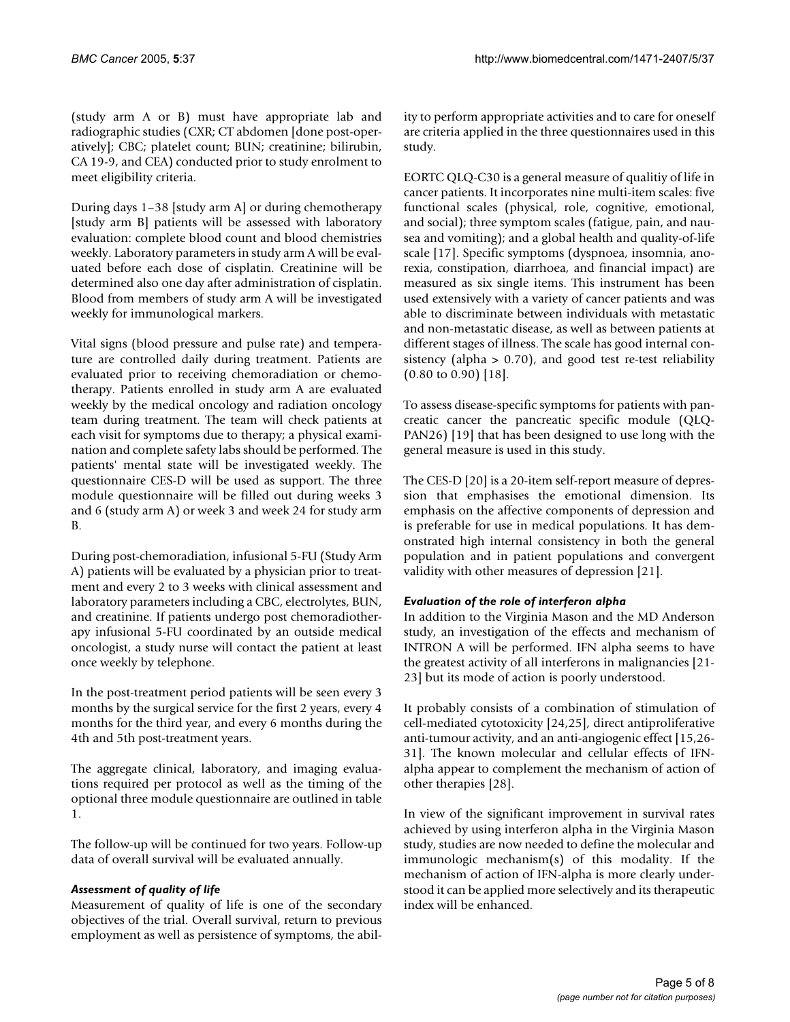(study arm A or B) must have appropriate lab and radiographic studies (CXR; CT abdomen [done post-operatively]; CBC; platelet count; BUN; creatinine; bilirubin, CA 19-9, and CEA) conducted prior to study enrolment to meet eligibility criteria.

During days 1–38 [study arm A] or during chemotherapy [study arm B] patients will be assessed with laboratory evaluation: complete blood count and blood chemistries weekly. Laboratory parameters in study arm A will be evaluated before each dose of cisplatin. Creatinine will be determined also one day after administration of cisplatin. Blood from members of study arm A will be investigated weekly for immunological markers.

Vital signs (blood pressure and pulse rate) and temperature are controlled daily during treatment. Patients are evaluated prior to receiving chemoradiation or chemotherapy. Patients enrolled in study arm A are evaluated weekly by the medical oncology and radiation oncology team during treatment. The team will check patients at each visit for symptoms due to therapy; a physical examination and complete safety labs should be performed. The patients' mental state will be investigated weekly. The questionnaire CES-D will be used as support. The three module questionnaire will be filled out during weeks 3 and 6 (study arm A) or week 3 and week 24 for study arm B.

During post-chemoradiation, infusional 5-FU (Study Arm A) patients will be evaluated by a physician prior to treatment and every 2 to 3 weeks with clinical assessment and laboratory parameters including a CBC, electrolytes, BUN, and creatinine. If patients undergo post chemoradiotherapy infusional 5-FU coordinated by an outside medical oncologist, a study nurse will contact the patient at least once weekly by telephone.

In the post-treatment period patients will be seen every 3 months by the surgical service for the first 2 years, every 4 months for the third year, and every 6 months during the 4th and 5th post-treatment years.

The aggregate clinical, laboratory, and imaging evaluations required per protocol as well as the timing of the optional three module questionnaire are outlined in table 1.

The follow-up will be continued for two years. Follow-up data of overall survival will be evaluated annually.

#### *Assessment of quality of life*

Measurement of quality of life is one of the secondary objectives of the trial. Overall survival, return to previous employment as well as persistence of symptoms, the ability to perform appropriate activities and to care for oneself are criteria applied in the three questionnaires used in this study.

EORTC QLQ-C30 is a general measure of qualitiy of life in cancer patients. It incorporates nine multi-item scales: five functional scales (physical, role, cognitive, emotional, and social); three symptom scales (fatigue, pain, and nausea and vomiting); and a global health and quality-of-life scale [17]. Specific symptoms (dyspnoea, insomnia, anorexia, constipation, diarrhoea, and financial impact) are measured as six single items. This instrument has been used extensively with a variety of cancer patients and was able to discriminate between individuals with metastatic and non-metastatic disease, as well as between patients at different stages of illness. The scale has good internal consistency (alpha > 0.70), and good test re-test reliability (0.80 to 0.90) [18].

To assess disease-specific symptoms for patients with pancreatic cancer the pancreatic specific module (QLQ-PAN26) [19] that has been designed to use long with the general measure is used in this study.

The CES-D [20] is a 20-item self-report measure of depression that emphasises the emotional dimension. Its emphasis on the affective components of depression and is preferable for use in medical populations. It has demonstrated high internal consistency in both the general population and in patient populations and convergent validity with other measures of depression [21].

#### *Evaluation of the role of interferon alpha*

In addition to the Virginia Mason and the MD Anderson study, an investigation of the effects and mechanism of INTRON A will be performed. IFN alpha seems to have the greatest activity of all interferons in malignancies [21- 23] but its mode of action is poorly understood.

It probably consists of a combination of stimulation of cell-mediated cytotoxicity [24,25], direct antiproliferative anti-tumour activity, and an anti-angiogenic effect [15,26- 31]. The known molecular and cellular effects of IFNalpha appear to complement the mechanism of action of other therapies [28].

In view of the significant improvement in survival rates achieved by using interferon alpha in the Virginia Mason study, studies are now needed to define the molecular and immunologic mechanism(s) of this modality. If the mechanism of action of IFN-alpha is more clearly understood it can be applied more selectively and its therapeutic index will be enhanced.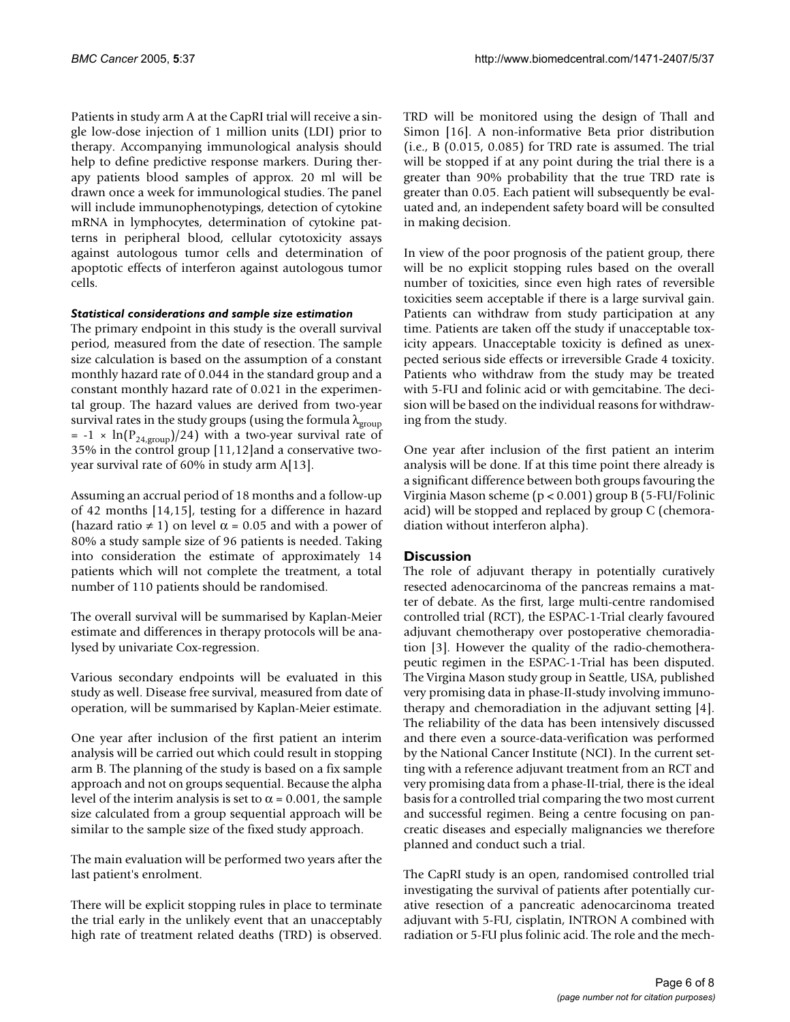Patients in study arm A at the CapRI trial will receive a single low-dose injection of 1 million units (LDI) prior to therapy. Accompanying immunological analysis should help to define predictive response markers. During therapy patients blood samples of approx. 20 ml will be drawn once a week for immunological studies. The panel will include immunophenotypings, detection of cytokine mRNA in lymphocytes, determination of cytokine patterns in peripheral blood, cellular cytotoxicity assays against autologous tumor cells and determination of apoptotic effects of interferon against autologous tumor cells.

#### *Statistical considerations and sample size estimation*

The primary endpoint in this study is the overall survival period, measured from the date of resection. The sample size calculation is based on the assumption of a constant monthly hazard rate of 0.044 in the standard group and a constant monthly hazard rate of 0.021 in the experimental group. The hazard values are derived from two-year survival rates in the study groups (using the formula  $\lambda_{\rm group}$  $= -1 \times \ln(P_{24,\text{group}})/24$ ) with a two-year survival rate of 35% in the control group [11,12]and a conservative twoyear survival rate of 60% in study arm A[13].

Assuming an accrual period of 18 months and a follow-up of 42 months [14,15], testing for a difference in hazard (hazard ratio  $\neq$  1) on level  $\alpha$  = 0.05 and with a power of 80% a study sample size of 96 patients is needed. Taking into consideration the estimate of approximately 14 patients which will not complete the treatment, a total number of 110 patients should be randomised.

The overall survival will be summarised by Kaplan-Meier estimate and differences in therapy protocols will be analysed by univariate Cox-regression.

Various secondary endpoints will be evaluated in this study as well. Disease free survival, measured from date of operation, will be summarised by Kaplan-Meier estimate.

One year after inclusion of the first patient an interim analysis will be carried out which could result in stopping arm B. The planning of the study is based on a fix sample approach and not on groups sequential. Because the alpha level of the interim analysis is set to  $\alpha$  = 0.001, the sample size calculated from a group sequential approach will be similar to the sample size of the fixed study approach.

The main evaluation will be performed two years after the last patient's enrolment.

There will be explicit stopping rules in place to terminate the trial early in the unlikely event that an unacceptably high rate of treatment related deaths (TRD) is observed.

TRD will be monitored using the design of Thall and Simon [16]. A non-informative Beta prior distribution (i.e., B (0.015, 0.085) for TRD rate is assumed. The trial will be stopped if at any point during the trial there is a greater than 90% probability that the true TRD rate is greater than 0.05. Each patient will subsequently be evaluated and, an independent safety board will be consulted in making decision.

In view of the poor prognosis of the patient group, there will be no explicit stopping rules based on the overall number of toxicities, since even high rates of reversible toxicities seem acceptable if there is a large survival gain. Patients can withdraw from study participation at any time. Patients are taken off the study if unacceptable toxicity appears. Unacceptable toxicity is defined as unexpected serious side effects or irreversible Grade 4 toxicity. Patients who withdraw from the study may be treated with 5-FU and folinic acid or with gemcitabine. The decision will be based on the individual reasons for withdrawing from the study.

One year after inclusion of the first patient an interim analysis will be done. If at this time point there already is a significant difference between both groups favouring the Virginia Mason scheme (p < 0.001) group B (5-FU/Folinic acid) will be stopped and replaced by group C (chemoradiation without interferon alpha).

# **Discussion**

The role of adjuvant therapy in potentially curatively resected adenocarcinoma of the pancreas remains a matter of debate. As the first, large multi-centre randomised controlled trial (RCT), the ESPAC-1-Trial clearly favoured adjuvant chemotherapy over postoperative chemoradiation [3]. However the quality of the radio-chemotherapeutic regimen in the ESPAC-1-Trial has been disputed. The Virgina Mason study group in Seattle, USA, published very promising data in phase-II-study involving immunotherapy and chemoradiation in the adjuvant setting [4]. The reliability of the data has been intensively discussed and there even a source-data-verification was performed by the National Cancer Institute (NCI). In the current setting with a reference adjuvant treatment from an RCT and very promising data from a phase-II-trial, there is the ideal basis for a controlled trial comparing the two most current and successful regimen. Being a centre focusing on pancreatic diseases and especially malignancies we therefore planned and conduct such a trial.

The CapRI study is an open, randomised controlled trial investigating the survival of patients after potentially curative resection of a pancreatic adenocarcinoma treated adjuvant with 5-FU, cisplatin, INTRON A combined with radiation or 5-FU plus folinic acid. The role and the mech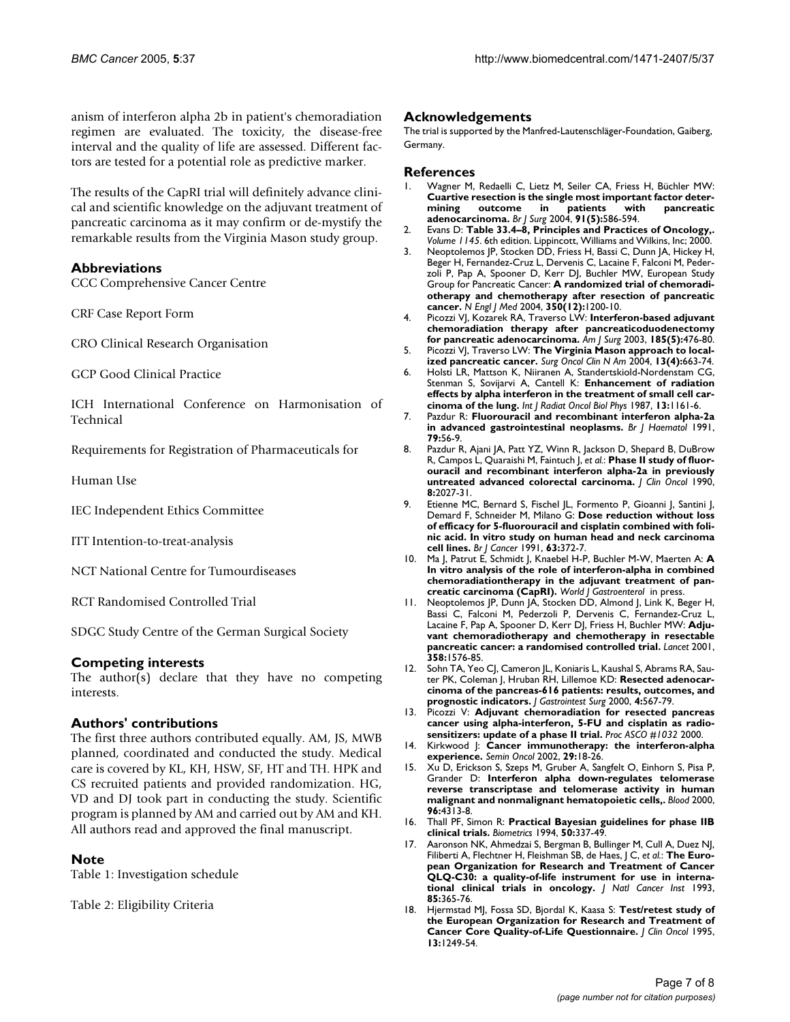anism of interferon alpha 2b in patient's chemoradiation regimen are evaluated. The toxicity, the disease-free interval and the quality of life are assessed. Different factors are tested for a potential role as predictive marker.

The results of the CapRI trial will definitely advance clinical and scientific knowledge on the adjuvant treatment of pancreatic carcinoma as it may confirm or de-mystify the remarkable results from the Virginia Mason study group.

#### **Abbreviations**

CCC Comprehensive Cancer Centre

CRF Case Report Form

CRO Clinical Research Organisation

GCP Good Clinical Practice

ICH International Conference on Harmonisation of Technical

Requirements for Registration of Pharmaceuticals for

Human Use

IEC Independent Ethics Committee

ITT Intention-to-treat-analysis

NCT National Centre for Tumourdiseases

RCT Randomised Controlled Trial

SDGC Study Centre of the German Surgical Society

#### **Competing interests**

The author(s) declare that they have no competing interests.

#### **Authors' contributions**

The first three authors contributed equally. AM, JS, MWB planned, coordinated and conducted the study. Medical care is covered by KL, KH, HSW, SF, HT and TH. HPK and CS recruited patients and provided randomization. HG, VD and DJ took part in conducting the study. Scientific program is planned by AM and carried out by AM and KH. All authors read and approved the final manuscript.

#### **Note**

Table 1: Investigation schedule

Table 2: Eligibility Criteria

#### **Acknowledgements**

The trial is supported by the Manfred-Lautenschläger-Foundation, Gaiberg, Germany.

#### **References**

- 1. Wagner M, Redaelli C, Lietz M, Seiler CA, Friess H, Büchler MW: **Cuartive resection is the single most important factor deter**mining outcome in **[adenocarcinoma.](http://www.ncbi.nlm.nih.gov/entrez/query.fcgi?cmd=Retrieve&db=PubMed&dopt=Abstract&list_uids=15122610)** *Br J Surg* 2004, **91(5):**586-594.
- 2. Evans D: **Table 33.4–8, Principles and Practices of Oncology,.** *Volume 1145*. 6th edition. Lippincott, Williams and Wilkins, Inc; 2000.
- 3. Neoptolemos JP, Stocken DD, Friess H, Bassi C, Dunn JA, Hickey H, Beger H, Fernandez-Cruz L, Dervenis C, Lacaine F, Falconi M, Pederzoli P, Pap A, Spooner D, Kerr DJ, Buchler MW, European Study Group for Pancreatic Cancer: **[A randomized trial of chemoradi](http://www.ncbi.nlm.nih.gov/entrez/query.fcgi?cmd=Retrieve&db=PubMed&dopt=Abstract&list_uids=15028824)[otherapy and chemotherapy after resection of pancreatic](http://www.ncbi.nlm.nih.gov/entrez/query.fcgi?cmd=Retrieve&db=PubMed&dopt=Abstract&list_uids=15028824) [cancer.](http://www.ncbi.nlm.nih.gov/entrez/query.fcgi?cmd=Retrieve&db=PubMed&dopt=Abstract&list_uids=15028824)** *N Engl J Med* 2004, **350(12):**1200-10.
- 4. Picozzi VJ, Kozarek RA, Traverso LW: **[Interferon-based adjuvant](http://www.ncbi.nlm.nih.gov/entrez/query.fcgi?cmd=Retrieve&db=PubMed&dopt=Abstract&list_uids=12727570) [chemoradiation therapy after pancreaticoduodenectomy](http://www.ncbi.nlm.nih.gov/entrez/query.fcgi?cmd=Retrieve&db=PubMed&dopt=Abstract&list_uids=12727570) [for pancreatic adenocarcinoma.](http://www.ncbi.nlm.nih.gov/entrez/query.fcgi?cmd=Retrieve&db=PubMed&dopt=Abstract&list_uids=12727570)** *Am J Surg* 2003, **185(5):**476-80.
- 5. Picozzi VJ, Traverso LW: **[The Virginia Mason approach to local](http://www.ncbi.nlm.nih.gov/entrez/query.fcgi?cmd=Retrieve&db=PubMed&dopt=Abstract&list_uids=15350940)[ized pancreatic cancer.](http://www.ncbi.nlm.nih.gov/entrez/query.fcgi?cmd=Retrieve&db=PubMed&dopt=Abstract&list_uids=15350940)** *Surg Oncol Clin N Am* 2004, **13(4):**663-74.
- 6. Holsti LR, Mattson K, Niiranen A, Standertskiold-Nordenstam CG, Stenman S, Sovijarvi A, Cantell K: **[Enhancement of radiation](http://www.ncbi.nlm.nih.gov/entrez/query.fcgi?cmd=Retrieve&db=PubMed&dopt=Abstract&list_uids=3038802) [effects by alpha interferon in the treatment of small cell car](http://www.ncbi.nlm.nih.gov/entrez/query.fcgi?cmd=Retrieve&db=PubMed&dopt=Abstract&list_uids=3038802)[cinoma of the lung.](http://www.ncbi.nlm.nih.gov/entrez/query.fcgi?cmd=Retrieve&db=PubMed&dopt=Abstract&list_uids=3038802)** *Int J Radiat Oncol Biol Phys* 1987, **13:**1161-6.
- 7. Pazdur R: **[Fluorouracil and recombinant interferon alpha-2a](http://www.ncbi.nlm.nih.gov/entrez/query.fcgi?cmd=Retrieve&db=PubMed&dopt=Abstract&list_uids=1931711) [in advanced gastrointestinal neoplasms.](http://www.ncbi.nlm.nih.gov/entrez/query.fcgi?cmd=Retrieve&db=PubMed&dopt=Abstract&list_uids=1931711)** *Br J Haematol* 1991, **79:**56-9.
- 8. Pazdur R, Ajani JA, Patt YZ, Winn R, Jackson D, Shepard B, DuBrow R, Campos L, Quaraishi M, Faintuch J, *et al.*: **[Phase II study of fluor](http://www.ncbi.nlm.nih.gov/entrez/query.fcgi?cmd=Retrieve&db=PubMed&dopt=Abstract&list_uids=2230894)[ouracil and recombinant interferon alpha-2a in previously](http://www.ncbi.nlm.nih.gov/entrez/query.fcgi?cmd=Retrieve&db=PubMed&dopt=Abstract&list_uids=2230894) [untreated advanced colorectal carcinoma.](http://www.ncbi.nlm.nih.gov/entrez/query.fcgi?cmd=Retrieve&db=PubMed&dopt=Abstract&list_uids=2230894)** *J Clin Oncol* 1990, **8:**2027-31.
- 9. Etienne MC, Bernard S, Fischel JL, Formento P, Gioanni J, Santini J, Demard F, Schneider M, Milano G: **[Dose reduction without loss](http://www.ncbi.nlm.nih.gov/entrez/query.fcgi?cmd=Retrieve&db=PubMed&dopt=Abstract&list_uids=2003979) [of efficacy for 5-fluorouracil and cisplatin combined with foli](http://www.ncbi.nlm.nih.gov/entrez/query.fcgi?cmd=Retrieve&db=PubMed&dopt=Abstract&list_uids=2003979)nic acid. In vitro study on human head and neck carcinoma [cell lines.](http://www.ncbi.nlm.nih.gov/entrez/query.fcgi?cmd=Retrieve&db=PubMed&dopt=Abstract&list_uids=2003979)** *Br J Cancer* 1991, **63:**372-7.
- 10. Ma J, Patrut E, Schmidt J, Knaebel H-P, Buchler M-W, Maerten A: **A In vitro analysis of the role of interferon-alpha in combined chemoradiationtherapy in the adjuvant treatment of pancreatic carcinoma (CapRI).** *World J Gastroenterol* in press.
- 11. Neoptolemos JP, Dunn JA, Stocken DD, Almond J, Link K, Beger H, Bassi C, Falconi M, Pederzoli P, Dervenis C, Fernandez-Cruz L, Lacaine F, Pap A, Spooner D, Kerr DJ, Friess H, Buchler MW: **[Adju](http://www.ncbi.nlm.nih.gov/entrez/query.fcgi?cmd=Retrieve&db=PubMed&dopt=Abstract&list_uids=11716884)[vant chemoradiotherapy and chemotherapy in resectable](http://www.ncbi.nlm.nih.gov/entrez/query.fcgi?cmd=Retrieve&db=PubMed&dopt=Abstract&list_uids=11716884) [pancreatic cancer: a randomised controlled trial.](http://www.ncbi.nlm.nih.gov/entrez/query.fcgi?cmd=Retrieve&db=PubMed&dopt=Abstract&list_uids=11716884)** *Lancet* 2001, **358:**1576-85.
- 12. Sohn TA, Yeo CJ, Cameron JL, Koniaris L, Kaushal S, Abrams RA, Sauter PK, Coleman J, Hruban RH, Lillemoe KD: **[Resected adenocar](http://www.ncbi.nlm.nih.gov/entrez/query.fcgi?cmd=Retrieve&db=PubMed&dopt=Abstract&list_uids=11307091)[cinoma of the pancreas-616 patients: results, outcomes, and](http://www.ncbi.nlm.nih.gov/entrez/query.fcgi?cmd=Retrieve&db=PubMed&dopt=Abstract&list_uids=11307091) [prognostic indicators.](http://www.ncbi.nlm.nih.gov/entrez/query.fcgi?cmd=Retrieve&db=PubMed&dopt=Abstract&list_uids=11307091)** *J Gastrointest Surg* 2000, **4:**567-79.
- 13. Picozzi V: **Adjuvant chemoradiation for resected pancreas cancer using alpha-interferon, 5-FU and cisplatin as radiosensitizers: update of a phase II trial.** *Proc ASCO #1032* 2000.
- 14. Kirkwood J: **[Cancer immunotherapy: the interferon-alpha](http://www.ncbi.nlm.nih.gov/entrez/query.fcgi?cmd=Retrieve&db=PubMed&dopt=Abstract&list_uids=12068384) [experience.](http://www.ncbi.nlm.nih.gov/entrez/query.fcgi?cmd=Retrieve&db=PubMed&dopt=Abstract&list_uids=12068384)** *Semin Oncol* 2002, **29:**18-26.
- 15. Xu D, Erickson S, Szeps M, Gruber A, Sangfelt O, Einhorn S, Pisa P, Grander D: **[Interferon alpha down-regulates telomerase](http://www.ncbi.nlm.nih.gov/entrez/query.fcgi?cmd=Retrieve&db=PubMed&dopt=Abstract&list_uids=11110707) [reverse transcriptase and telomerase activity in human](http://www.ncbi.nlm.nih.gov/entrez/query.fcgi?cmd=Retrieve&db=PubMed&dopt=Abstract&list_uids=11110707) [malignant and nonmalignant hematopoietic cells,.](http://www.ncbi.nlm.nih.gov/entrez/query.fcgi?cmd=Retrieve&db=PubMed&dopt=Abstract&list_uids=11110707)** *Blood* 2000, **96:**4313-8.
- 16. Thall PF, Simon R: **[Practical Bayesian guidelines for phase IIB](http://www.ncbi.nlm.nih.gov/entrez/query.fcgi?cmd=Retrieve&db=PubMed&dopt=Abstract&list_uids=7980801) [clinical trials.](http://www.ncbi.nlm.nih.gov/entrez/query.fcgi?cmd=Retrieve&db=PubMed&dopt=Abstract&list_uids=7980801)** *Biometrics* 1994, **50:**337-49.
- 17. Aaronson NK, Ahmedzai S, Bergman B, Bullinger M, Cull A, Duez NJ, Filiberti A, Flechtner H, Fleishman SB, de Haes, J C, *et al.*: **[The Euro](http://www.ncbi.nlm.nih.gov/entrez/query.fcgi?cmd=Retrieve&db=PubMed&dopt=Abstract&list_uids=8433390)pean Organization for Research and Treatment of Cancer [QLQ-C30: a quality-of-life instrument for use in interna](http://www.ncbi.nlm.nih.gov/entrez/query.fcgi?cmd=Retrieve&db=PubMed&dopt=Abstract&list_uids=8433390)[tional clinical trials in oncology.](http://www.ncbi.nlm.nih.gov/entrez/query.fcgi?cmd=Retrieve&db=PubMed&dopt=Abstract&list_uids=8433390)** *J Natl Cancer Inst* 1993, **85:**365-76.
- 18. Hjermstad MJ, Fossa SD, Bjordal K, Kaasa S: **[Test/retest study of](http://www.ncbi.nlm.nih.gov/entrez/query.fcgi?cmd=Retrieve&db=PubMed&dopt=Abstract&list_uids=7738629) [the European Organization for Research and Treatment of](http://www.ncbi.nlm.nih.gov/entrez/query.fcgi?cmd=Retrieve&db=PubMed&dopt=Abstract&list_uids=7738629) [Cancer Core Quality-of-Life Questionnaire.](http://www.ncbi.nlm.nih.gov/entrez/query.fcgi?cmd=Retrieve&db=PubMed&dopt=Abstract&list_uids=7738629)** *J Clin Oncol* 1995, **13:**1249-54.